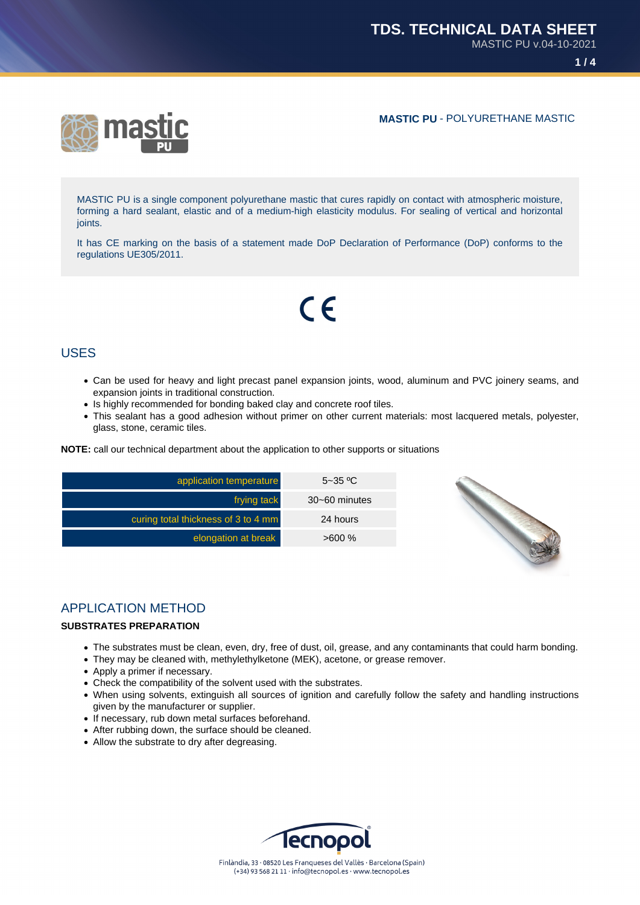## **MASTIC PU** - POLYURETHANE MASTIC



MASTIC PU is a single component polyurethane mastic that cures rapidly on contact with atmospheric moisture, forming a hard sealant, elastic and of a medium-high elasticity modulus. For sealing of vertical and horizontal joints.

It has CE marking on the basis of a statement made DoP Declaration of Performance (DoP) conforms to the regulations UE305/2011.

# $C<sub>6</sub>$

# USES

- Can be used for heavy and light precast panel expansion joints, wood, aluminum and PVC joinery seams, and expansion joints in traditional construction.
- Is highly recommended for bonding baked clay and concrete roof tiles.
- This sealant has a good adhesion without primer on other current materials: most lacquered metals, polyester, glass, stone, ceramic tiles.

**NOTE:** call our technical department about the application to other supports or situations

| application temperature             | $5 - 35$ °C       |
|-------------------------------------|-------------------|
| frying tack                         | $30 - 60$ minutes |
| curing total thickness of 3 to 4 mm | 24 hours          |
| elongation at break                 | $>600\%$          |



# APPLICATION METHOD

#### **SUBSTRATES PREPARATION**

- The substrates must be clean, even, dry, free of dust, oil, grease, and any contaminants that could harm bonding.
- They may be cleaned with, methylethylketone (MEK), acetone, or grease remover.
- Apply a primer if necessary.
- Check the compatibility of the solvent used with the substrates.
- When using solvents, extinguish all sources of ignition and carefully follow the safety and handling instructions given by the manufacturer or supplier.
- If necessary, rub down metal surfaces beforehand.
- After rubbing down, the surface should be cleaned.
- Allow the substrate to dry after degreasing.

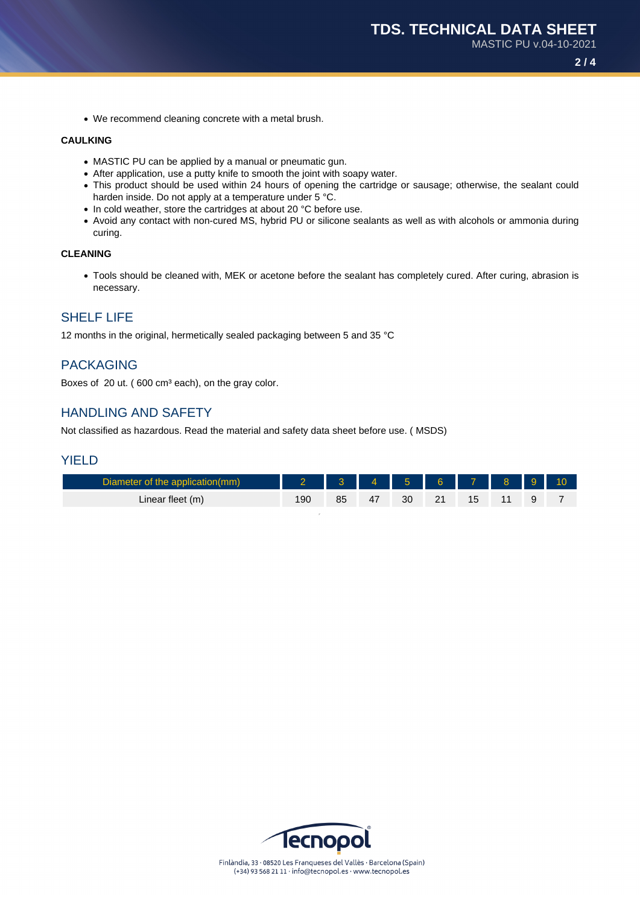We recommend cleaning concrete with a metal brush.

#### **CAULKING**

- MASTIC PU can be applied by a manual or pneumatic gun.
- After application, use a putty knife to smooth the joint with soapy water.
- This product should be used within 24 hours of opening the cartridge or sausage; otherwise, the sealant could harden inside. Do not apply at a temperature under 5 °C.
- In cold weather, store the cartridges at about 20 °C before use.
- Avoid any contact with non-cured MS, hybrid PU or silicone sealants as well as with alcohols or ammonia during curing.

#### **CLEANING**

Tools should be cleaned with, MEK or acetone before the sealant has completely cured. After curing, abrasion is necessary.

## SHELF LIFE

12 months in the original, hermetically sealed packaging between 5 and 35 °C

## PACKAGING

Boxes of 20 ut. (600 cm<sup>3</sup> each), on the gray color.

### HANDLING AND SAFETY

Not classified as hazardous. Read the material and safety data sheet before use. ( MSDS)

#### YIELD

| Diameter of the application(mm) | $\sim$ 2 $\sim$ 1 |  | 3 4 5 6 7 8 9 |  |  |
|---------------------------------|-------------------|--|---------------|--|--|
| Linear fleet (m)                |                   |  |               |  |  |

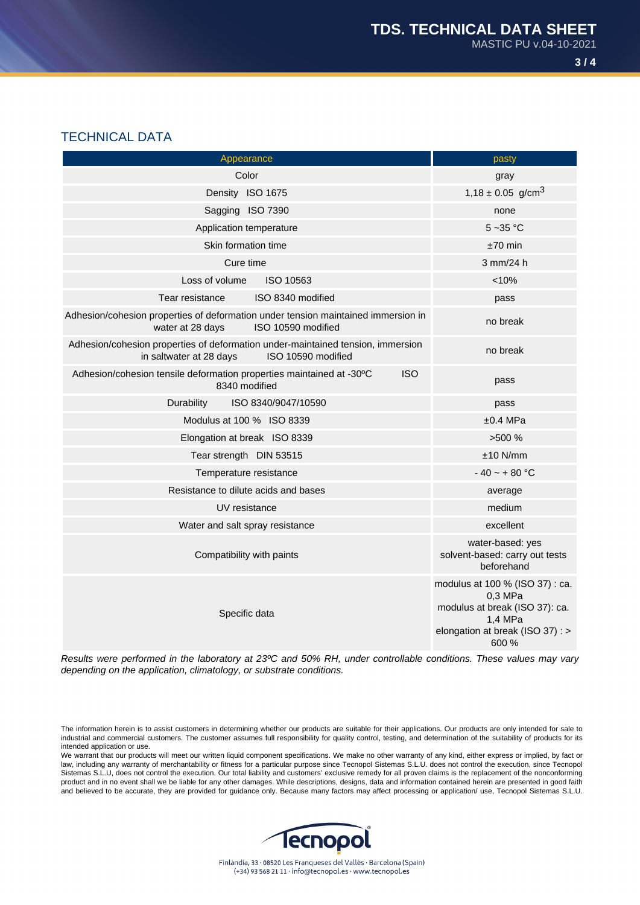# TECHNICAL DATA

| Appearance                                                                                                                       | pasty                                                                                                                                |
|----------------------------------------------------------------------------------------------------------------------------------|--------------------------------------------------------------------------------------------------------------------------------------|
| Color                                                                                                                            | gray                                                                                                                                 |
| Density ISO 1675                                                                                                                 | $1,18 \pm 0.05$ g/cm <sup>3</sup>                                                                                                    |
| Sagging ISO 7390                                                                                                                 | none                                                                                                                                 |
| Application temperature                                                                                                          | $5 - 35$ °C                                                                                                                          |
| Skin formation time                                                                                                              | $±70$ min                                                                                                                            |
| Cure time                                                                                                                        | 3 mm/24 h                                                                                                                            |
| Loss of volume<br>ISO 10563                                                                                                      | < 10%                                                                                                                                |
| ISO 8340 modified<br>Tear resistance                                                                                             | pass                                                                                                                                 |
| Adhesion/cohesion properties of deformation under tension maintained immersion in<br>water at 28 days<br>ISO 10590 modified      | no break                                                                                                                             |
| Adhesion/cohesion properties of deformation under-maintained tension, immersion<br>in saltwater at 28 days<br>ISO 10590 modified | no break                                                                                                                             |
| Adhesion/cohesion tensile deformation properties maintained at -30°C<br><b>ISO</b><br>8340 modified                              | pass                                                                                                                                 |
| Durability<br>ISO 8340/9047/10590                                                                                                | pass                                                                                                                                 |
| Modulus at 100 % ISO 8339                                                                                                        | ±0.4 MPa                                                                                                                             |
| Elongation at break ISO 8339                                                                                                     | >500%                                                                                                                                |
| Tear strength DIN 53515                                                                                                          | $±10$ N/mm                                                                                                                           |
| Temperature resistance                                                                                                           | $-40 - + 80$ °C                                                                                                                      |
| Resistance to dilute acids and bases                                                                                             | average                                                                                                                              |
| UV resistance                                                                                                                    | medium                                                                                                                               |
| Water and salt spray resistance                                                                                                  | excellent                                                                                                                            |
| Compatibility with paints                                                                                                        | water-based: yes<br>solvent-based: carry out tests<br>beforehand                                                                     |
| Specific data                                                                                                                    | modulus at 100 % (ISO 37) : ca.<br>0,3 MPa<br>modulus at break (ISO 37): ca.<br>1,4 MPa<br>elongation at break (ISO 37) : ><br>600 % |

Results were performed in the laboratory at 23ºC and 50% RH, under controllable conditions. These values may vary depending on the application, climatology, or substrate conditions.

The information herein is to assist customers in determining whether our products are suitable for their applications. Our products are only intended for sale to industrial and commercial customers. The customer assumes full responsibility for quality control, testing, and determination of the suitability of products for its intended application or use.

We warrant that our products will meet our written liquid component specifications. We make no other warranty of any kind, either express or implied, by fact or law, including any warranty of merchantability or fitness for a particular purpose since Tecnopol Sistemas S.L.U. does not control the execution, since Tecnopol Sistemas S.L.U, does not control the execution. Our total liability and customers' exclusive remedy for all proven claims is the replacement of the nonconforming product and in no event shall we be liable for any other damages. While descriptions, designs, data and information contained herein are presented in good faith and believed to be accurate, they are provided for guidance only. Because many factors may affect processing or application/ use, Tecnopol Sistemas S.L.U.